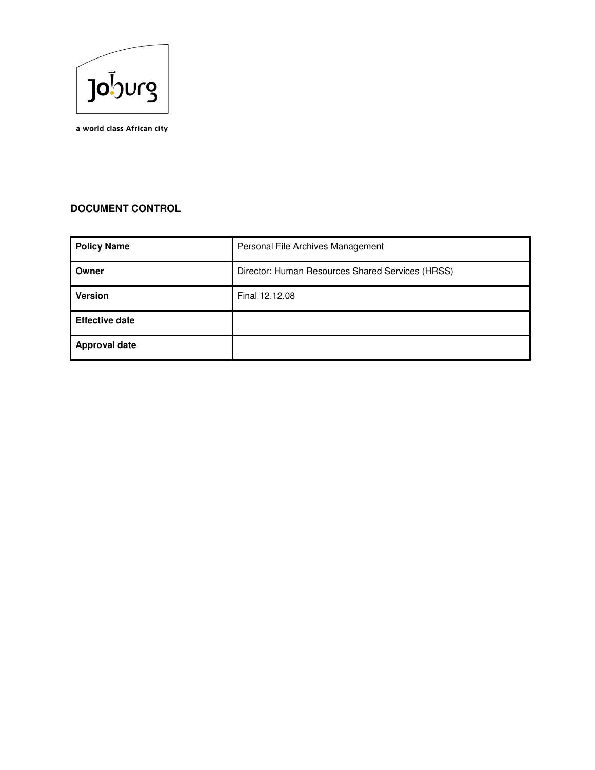

a world class African city

# **DOCUMENT CONTROL**

| <b>Policy Name</b>    | Personal File Archives Management                |
|-----------------------|--------------------------------------------------|
| Owner                 | Director: Human Resources Shared Services (HRSS) |
| <b>Version</b>        | Final 12.12.08                                   |
| <b>Effective date</b> |                                                  |
| <b>Approval date</b>  |                                                  |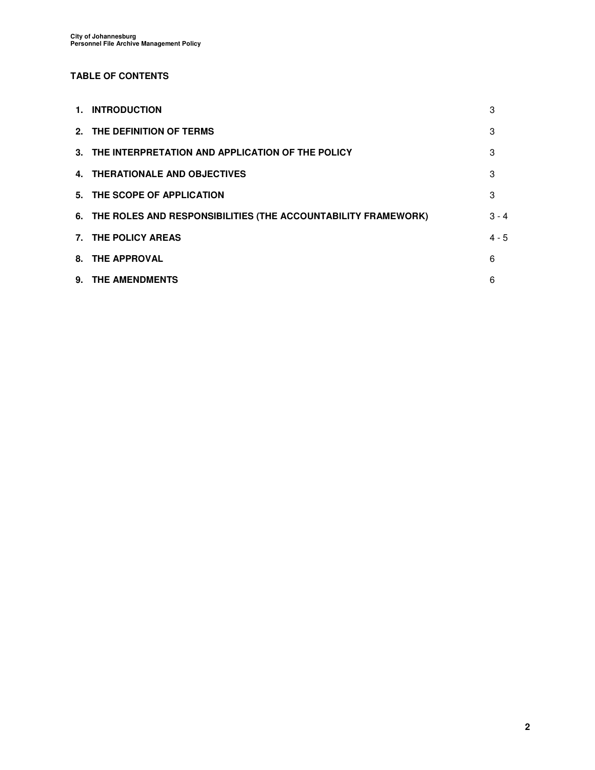## **TABLE OF CONTENTS**

| 1. INTRODUCTION                                                  | 3       |
|------------------------------------------------------------------|---------|
| 2. THE DEFINITION OF TERMS                                       | 3       |
| 3. THE INTERPRETATION AND APPLICATION OF THE POLICY              | 3       |
| 4. THERATIONALE AND OBJECTIVES                                   | 3       |
| 5. THE SCOPE OF APPLICATION                                      | 3       |
| 6. THE ROLES AND RESPONSIBILITIES (THE ACCOUNTABILITY FRAMEWORK) | $3 - 4$ |
| 7. THE POLICY AREAS                                              | $4 - 5$ |
| 8. THE APPROVAL                                                  | 6       |
| 9. THE AMENDMENTS                                                | 6       |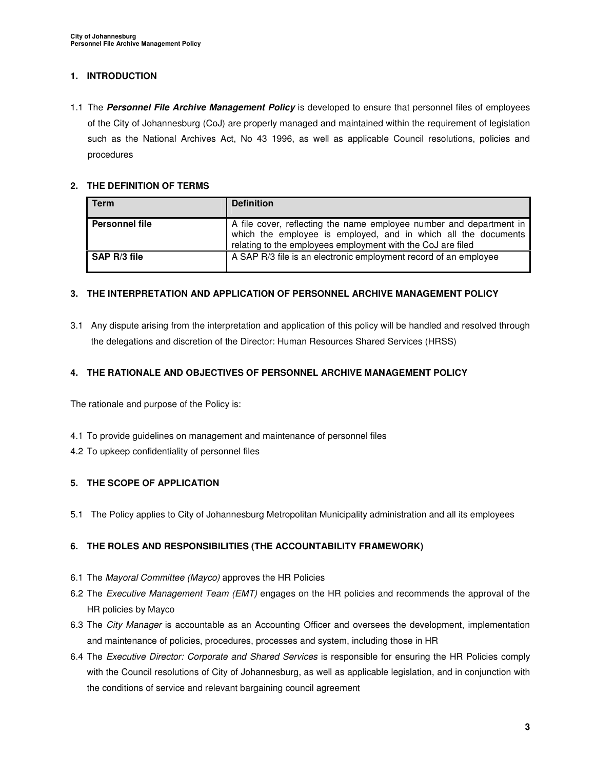### **1. INTRODUCTION**

1.1 The **Personnel File Archive Management Policy** is developed to ensure that personnel files of employees of the City of Johannesburg (CoJ) are properly managed and maintained within the requirement of legislation such as the National Archives Act, No 43 1996, as well as applicable Council resolutions, policies and procedures

### **2. THE DEFINITION OF TERMS**

| <b>Term</b>           | <b>Definition</b>                                                                                                                                                                                    |
|-----------------------|------------------------------------------------------------------------------------------------------------------------------------------------------------------------------------------------------|
| <b>Personnel file</b> | A file cover, reflecting the name employee number and department in<br>which the employee is employed, and in which all the documents<br>relating to the employees employment with the CoJ are filed |
| SAP R/3 file          | A SAP R/3 file is an electronic employment record of an employee                                                                                                                                     |

### **3. THE INTERPRETATION AND APPLICATION OF PERSONNEL ARCHIVE MANAGEMENT POLICY**

3.1 Any dispute arising from the interpretation and application of this policy will be handled and resolved through the delegations and discretion of the Director: Human Resources Shared Services (HRSS)

#### **4. THE RATIONALE AND OBJECTIVES OF PERSONNEL ARCHIVE MANAGEMENT POLICY**

The rationale and purpose of the Policy is:

- 4.1 To provide guidelines on management and maintenance of personnel files
- 4.2 To upkeep confidentiality of personnel files

### **5. THE SCOPE OF APPLICATION**

5.1 The Policy applies to City of Johannesburg Metropolitan Municipality administration and all its employees

### **6. THE ROLES AND RESPONSIBILITIES (THE ACCOUNTABILITY FRAMEWORK)**

- 6.1 The Mayoral Committee (Mayco) approves the HR Policies
- 6.2 The Executive Management Team (EMT) engages on the HR policies and recommends the approval of the HR policies by Mayco
- 6.3 The City Manager is accountable as an Accounting Officer and oversees the development, implementation and maintenance of policies, procedures, processes and system, including those in HR
- 6.4 The Executive Director: Corporate and Shared Services is responsible for ensuring the HR Policies comply with the Council resolutions of City of Johannesburg, as well as applicable legislation, and in conjunction with the conditions of service and relevant bargaining council agreement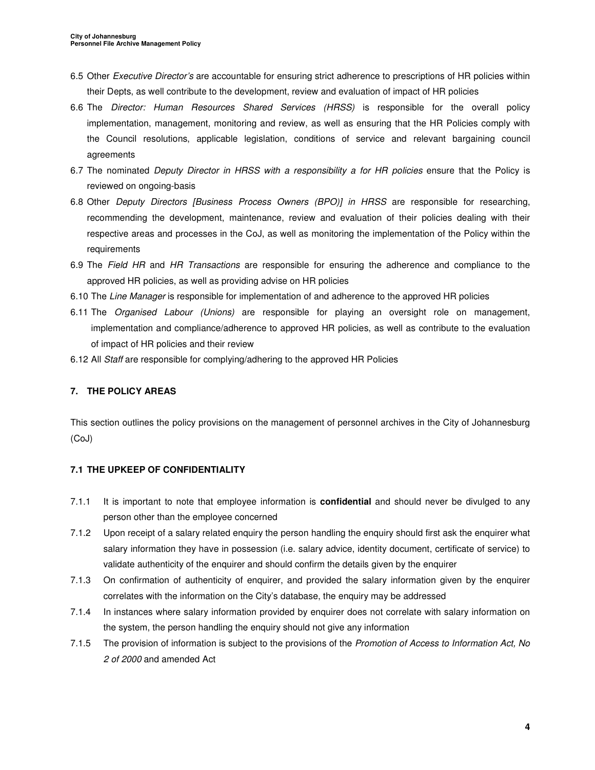- 6.5 Other Executive Director's are accountable for ensuring strict adherence to prescriptions of HR policies within their Depts, as well contribute to the development, review and evaluation of impact of HR policies
- 6.6 The Director: Human Resources Shared Services (HRSS) is responsible for the overall policy implementation, management, monitoring and review, as well as ensuring that the HR Policies comply with the Council resolutions, applicable legislation, conditions of service and relevant bargaining council agreements
- 6.7 The nominated Deputy Director in HRSS with a responsibility a for HR policies ensure that the Policy is reviewed on ongoing-basis
- 6.8 Other Deputy Directors [Business Process Owners (BPO)] in HRSS are responsible for researching, recommending the development, maintenance, review and evaluation of their policies dealing with their respective areas and processes in the CoJ, as well as monitoring the implementation of the Policy within the requirements
- 6.9 The Field HR and HR Transactions are responsible for ensuring the adherence and compliance to the approved HR policies, as well as providing advise on HR policies
- 6.10 The Line Manager is responsible for implementation of and adherence to the approved HR policies
- 6.11 The Organised Labour (Unions) are responsible for playing an oversight role on management, implementation and compliance/adherence to approved HR policies, as well as contribute to the evaluation of impact of HR policies and their review
- 6.12 All Staff are responsible for complying/adhering to the approved HR Policies

### **7. THE POLICY AREAS**

This section outlines the policy provisions on the management of personnel archives in the City of Johannesburg (CoJ)

### **7.1 THE UPKEEP OF CONFIDENTIALITY**

- 7.1.1 It is important to note that employee information is **confidential** and should never be divulged to any person other than the employee concerned
- 7.1.2 Upon receipt of a salary related enquiry the person handling the enquiry should first ask the enquirer what salary information they have in possession (i.e. salary advice, identity document, certificate of service) to validate authenticity of the enquirer and should confirm the details given by the enquirer
- 7.1.3 On confirmation of authenticity of enquirer, and provided the salary information given by the enquirer correlates with the information on the City's database, the enquiry may be addressed
- 7.1.4 In instances where salary information provided by enquirer does not correlate with salary information on the system, the person handling the enquiry should not give any information
- 7.1.5 The provision of information is subject to the provisions of the Promotion of Access to Information Act, No 2 of 2000 and amended Act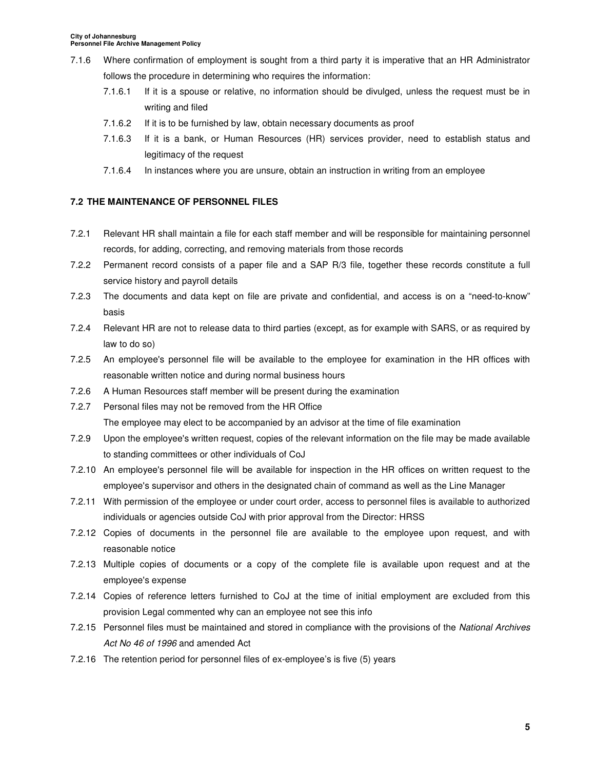- 7.1.6 Where confirmation of employment is sought from a third party it is imperative that an HR Administrator follows the procedure in determining who requires the information:
	- 7.1.6.1 If it is a spouse or relative, no information should be divulged, unless the request must be in writing and filed
	- 7.1.6.2 If it is to be furnished by law, obtain necessary documents as proof
	- 7.1.6.3 If it is a bank, or Human Resources (HR) services provider, need to establish status and legitimacy of the request
	- 7.1.6.4 In instances where you are unsure, obtain an instruction in writing from an employee

### **7.2 THE MAINTENANCE OF PERSONNEL FILES**

- 7.2.1 Relevant HR shall maintain a file for each staff member and will be responsible for maintaining personnel records, for adding, correcting, and removing materials from those records
- 7.2.2 Permanent record consists of a paper file and a SAP R/3 file, together these records constitute a full service history and payroll details
- 7.2.3 The documents and data kept on file are private and confidential, and access is on a "need-to-know" basis
- 7.2.4 Relevant HR are not to release data to third parties (except, as for example with SARS, or as required by law to do so)
- 7.2.5 An employee's personnel file will be available to the employee for examination in the HR offices with reasonable written notice and during normal business hours
- 7.2.6 A Human Resources staff member will be present during the examination
- 7.2.7 Personal files may not be removed from the HR Office

The employee may elect to be accompanied by an advisor at the time of file examination

- 7.2.9 Upon the employee's written request, copies of the relevant information on the file may be made available to standing committees or other individuals of CoJ
- 7.2.10 An employee's personnel file will be available for inspection in the HR offices on written request to the employee's supervisor and others in the designated chain of command as well as the Line Manager
- 7.2.11 With permission of the employee or under court order, access to personnel files is available to authorized individuals or agencies outside CoJ with prior approval from the Director: HRSS
- 7.2.12 Copies of documents in the personnel file are available to the employee upon request, and with reasonable notice
- 7.2.13 Multiple copies of documents or a copy of the complete file is available upon request and at the employee's expense
- 7.2.14 Copies of reference letters furnished to CoJ at the time of initial employment are excluded from this provision Legal commented why can an employee not see this info
- 7.2.15 Personnel files must be maintained and stored in compliance with the provisions of the National Archives Act No 46 of 1996 and amended Act
- 7.2.16 The retention period for personnel files of ex-employee's is five (5) years